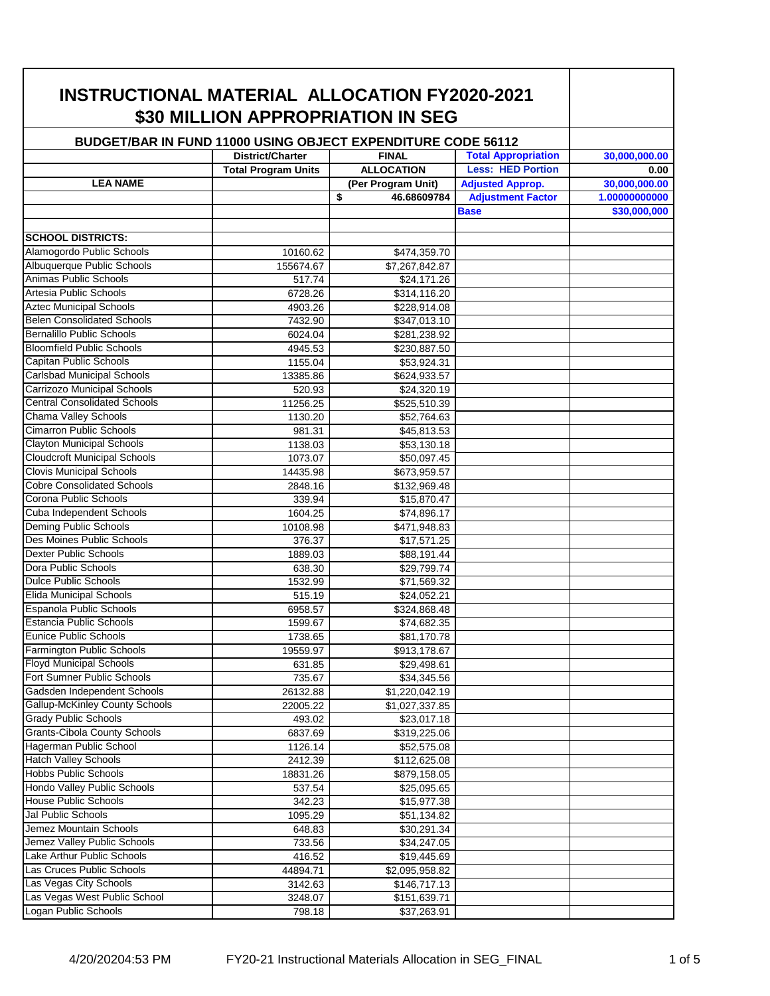| <b>INSTRUCTIONAL MATERIAL ALLOCATION FY2020-2021</b>                 |                                                                     | \$30 MILLION APPROPRIATION IN SEG |                            |               |
|----------------------------------------------------------------------|---------------------------------------------------------------------|-----------------------------------|----------------------------|---------------|
|                                                                      | <b>BUDGET/BAR IN FUND 11000 USING OBJECT EXPENDITURE CODE 56112</b> |                                   |                            |               |
|                                                                      | <b>District/Charter</b>                                             | <b>FINAL</b>                      | <b>Total Appropriation</b> | 30,000,000.00 |
|                                                                      | <b>Total Program Units</b>                                          | <b>ALLOCATION</b>                 | <b>Less: HED Portion</b>   | 0.00          |
| <b>LEA NAME</b>                                                      |                                                                     | (Per Program Unit)                | <b>Adjusted Approp.</b>    | 30,000,000.00 |
|                                                                      |                                                                     | \$<br>46.68609784                 | <b>Adjustment Factor</b>   | 1.00000000000 |
|                                                                      |                                                                     |                                   | <b>Base</b>                | \$30,000,000  |
| <b>SCHOOL DISTRICTS:</b>                                             |                                                                     |                                   |                            |               |
| Alamogordo Public Schools                                            | 10160.62                                                            | \$474,359.70                      |                            |               |
| Albuquerque Public Schools                                           | 155674.67                                                           | \$7,267,842.87                    |                            |               |
| Animas Public Schools                                                | 517.74                                                              | \$24,171.26                       |                            |               |
| Artesia Public Schools                                               | 6728.26                                                             | \$314,116.20                      |                            |               |
| <b>Aztec Municipal Schools</b>                                       | 4903.26                                                             | \$228,914.08                      |                            |               |
| <b>Belen Consolidated Schools</b>                                    | 7432.90                                                             | \$347,013.10                      |                            |               |
| <b>Bernalillo Public Schools</b>                                     | 6024.04                                                             | \$281,238.92                      |                            |               |
| <b>Bloomfield Public Schools</b>                                     | 4945.53                                                             | \$230,887.50                      |                            |               |
| <b>Capitan Public Schools</b>                                        | 1155.04                                                             | \$53,924.31                       |                            |               |
| <b>Carlsbad Municipal Schools</b>                                    | 13385.86                                                            | \$624,933.57                      |                            |               |
| Carrizozo Municipal Schools                                          | 520.93                                                              | \$24,320.19                       |                            |               |
| <b>Central Consolidated Schools</b>                                  | 11256.25                                                            | \$525,510.39                      |                            |               |
| Chama Valley Schools                                                 | 1130.20                                                             | \$52,764.63                       |                            |               |
| <b>Cimarron Public Schools</b>                                       | 981.31                                                              | \$45,813.53                       |                            |               |
| <b>Clayton Municipal Schools</b>                                     | 1138.03                                                             | \$53,130.18                       |                            |               |
| <b>Cloudcroft Municipal Schools</b>                                  | 1073.07                                                             | \$50,097.45                       |                            |               |
| <b>Clovis Municipal Schools</b>                                      | 14435.98                                                            | \$673,959.57                      |                            |               |
| <b>Cobre Consolidated Schools</b>                                    | 2848.16                                                             | \$132,969.48                      |                            |               |
| Corona Public Schools                                                | 339.94                                                              | \$15,870.47                       |                            |               |
| Cuba Independent Schools                                             | 1604.25                                                             | \$74,896.17                       |                            |               |
| Deming Public Schools                                                | 10108.98                                                            | \$471,948.83                      |                            |               |
| Des Moines Public Schools                                            | 376.37                                                              | \$17,571.25                       |                            |               |
| <b>Dexter Public Schools</b>                                         | 1889.03                                                             | \$88,191.44                       |                            |               |
| Dora Public Schools                                                  | 638.30                                                              | \$29,799.74                       |                            |               |
| <b>Dulce Public Schools</b>                                          | 1532.99                                                             | \$71,569.32                       |                            |               |
| Elida Municipal Schools                                              |                                                                     |                                   |                            |               |
| Espanola Public Schools                                              | 515.19                                                              | \$24,052.21                       |                            |               |
| <b>Estancia Public Schools</b>                                       | 6958.57                                                             | \$324,868.48                      |                            |               |
| Eunice Public Schools                                                | 1599.67<br>1738.65                                                  | \$74,682.35                       |                            |               |
|                                                                      |                                                                     | \$81,170.78                       |                            |               |
| <b>Farmington Public Schools</b>                                     | 19559.97                                                            | \$913,178.67                      |                            |               |
| <b>Floyd Municipal Schools</b>                                       | 631.85                                                              | \$29,498.61                       |                            |               |
| Fort Sumner Public Schools                                           | 735.67                                                              | \$34,345.56                       |                            |               |
| Gadsden Independent Schools<br><b>Gallup-McKinley County Schools</b> | 26132.88                                                            | \$1,220,042.19                    |                            |               |
| <b>Grady Public Schools</b>                                          | 22005.22                                                            | \$1,027,337.85                    |                            |               |
|                                                                      | 493.02                                                              | \$23,017.18                       |                            |               |
| Grants-Cibola County Schools                                         | 6837.69                                                             | \$319,225.06                      |                            |               |
| <b>Hagerman Public School</b>                                        | 1126.14                                                             | \$52,575.08                       |                            |               |
| <b>Hatch Valley Schools</b>                                          | 2412.39                                                             | \$112,625.08                      |                            |               |
| <b>Hobbs Public Schools</b>                                          | 18831.26                                                            | \$879,158.05                      |                            |               |
| Hondo Valley Public Schools                                          | 537.54                                                              | \$25,095.65                       |                            |               |
| <b>House Public Schools</b>                                          | 342.23                                                              | \$15,977.38                       |                            |               |
| Jal Public Schools                                                   | 1095.29                                                             | \$51,134.82                       |                            |               |
| Jemez Mountain Schools                                               | 648.83                                                              | \$30,291.34                       |                            |               |
| Jemez Valley Public Schools                                          | 733.56                                                              | \$34,247.05                       |                            |               |
| Lake Arthur Public Schools                                           | 416.52                                                              | \$19,445.69                       |                            |               |
| Las Cruces Public Schools                                            | 44894.71                                                            | \$2,095,958.82                    |                            |               |
| Las Vegas City Schools                                               | 3142.63                                                             | \$146,717.13                      |                            |               |
| Las Vegas West Public School                                         | 3248.07                                                             | \$151,639.71                      |                            |               |
| Logan Public Schools                                                 | 798.18                                                              | \$37,263.91                       |                            |               |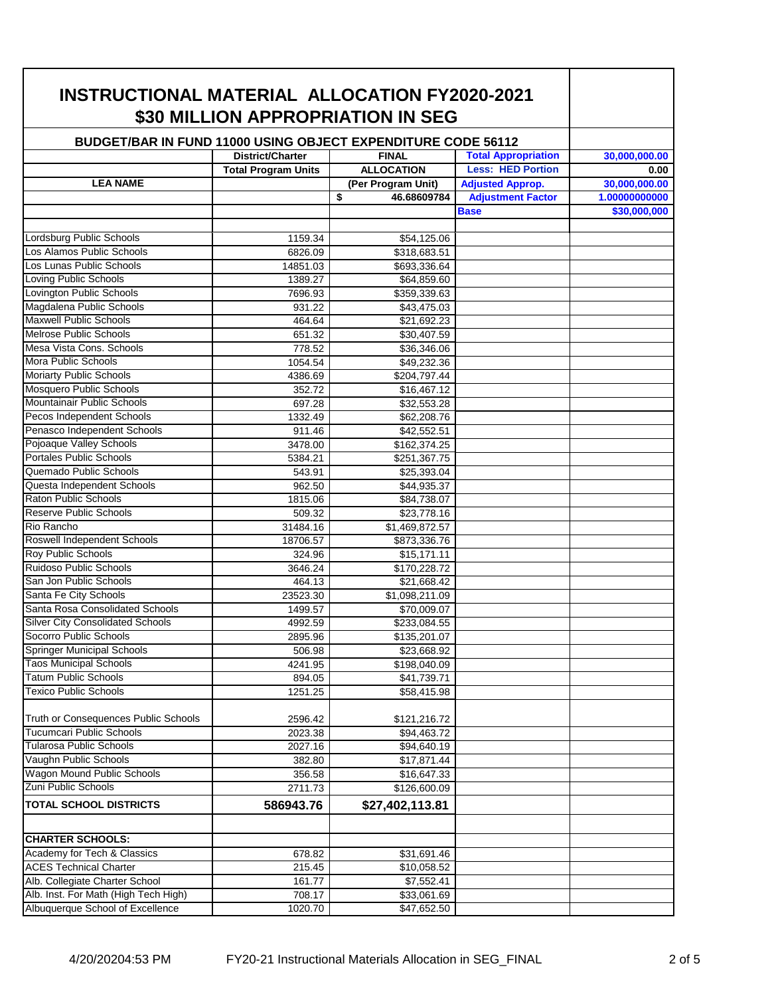| <b>INSTRUCTIONAL MATERIAL ALLOCATION FY2020-2021</b>         |                            | \$30 MILLION APPROPRIATION IN SEG |                            |               |
|--------------------------------------------------------------|----------------------------|-----------------------------------|----------------------------|---------------|
|                                                              |                            |                                   |                            |               |
| BUDGET/BAR IN FUND 11000 USING OBJECT EXPENDITURE CODE 56112 | <b>District/Charter</b>    | <b>FINAL</b>                      | <b>Total Appropriation</b> | 30,000,000.00 |
|                                                              | <b>Total Program Units</b> | <b>ALLOCATION</b>                 | <b>Less: HED Portion</b>   | 0.00          |
| <b>LEA NAME</b>                                              |                            | (Per Program Unit)                | <b>Adjusted Approp.</b>    | 30,000,000.00 |
|                                                              |                            | \$<br>46.68609784                 | <b>Adjustment Factor</b>   | 1.00000000000 |
|                                                              |                            |                                   | <b>Base</b>                | \$30,000,000  |
|                                                              |                            |                                   |                            |               |
| Lordsburg Public Schools                                     | 1159.34                    | \$54,125.06                       |                            |               |
| Los Alamos Public Schools                                    | 6826.09                    | \$318,683.51                      |                            |               |
| Los Lunas Public Schools                                     | 14851.03                   | \$693,336.64                      |                            |               |
| Loving Public Schools                                        | 1389.27                    | \$64,859.60                       |                            |               |
| Lovington Public Schools                                     | 7696.93                    | \$359,339.63                      |                            |               |
| Magdalena Public Schools                                     | 931.22                     | \$43,475.03                       |                            |               |
| <b>Maxwell Public Schools</b>                                | 464.64                     | \$21,692.23                       |                            |               |
| Melrose Public Schools                                       | 651.32                     | \$30,407.59                       |                            |               |
| Mesa Vista Cons. Schools                                     | 778.52                     | \$36,346.06                       |                            |               |
| <b>Mora Public Schools</b>                                   | 1054.54                    | \$49,232.36                       |                            |               |
| <b>Moriarty Public Schools</b>                               | 4386.69                    | \$204,797.44                      |                            |               |
| <b>Mosquero Public Schools</b>                               | 352.72                     | \$16,467.12                       |                            |               |
| Mountainair Public Schools<br>Pecos Independent Schools      | 697.28                     | \$32,553.28                       |                            |               |
| Penasco Independent Schools                                  | 1332.49<br>911.46          | \$62,208.76                       |                            |               |
| Pojoaque Valley Schools                                      | 3478.00                    | \$42,552.51                       |                            |               |
| <b>Portales Public Schools</b>                               | 5384.21                    | \$162,374.25                      |                            |               |
| Quemado Public Schools                                       | 543.91                     | \$251,367.75<br>\$25,393.04       |                            |               |
| Questa Independent Schools                                   | 962.50                     | \$44,935.37                       |                            |               |
| <b>Raton Public Schools</b>                                  | 1815.06                    | \$84,738.07                       |                            |               |
| <b>Reserve Public Schools</b>                                | 509.32                     | \$23,778.16                       |                            |               |
| Rio Rancho                                                   | 31484.16                   | \$1,469,872.57                    |                            |               |
| Roswell Independent Schools                                  | 18706.57                   | \$873,336.76                      |                            |               |
| <b>Roy Public Schools</b>                                    | 324.96                     | \$15,171.11                       |                            |               |
| Ruidoso Public Schools                                       | 3646.24                    | \$170,228.72                      |                            |               |
| San Jon Public Schools                                       | 464.13                     | \$21,668.42                       |                            |               |
| Santa Fe City Schools                                        | 23523.30                   | \$1,098,211.09                    |                            |               |
| Santa Rosa Consolidated Schools                              | 1499.57                    | \$70,009.07                       |                            |               |
| <b>Silver City Consolidated Schools</b>                      | 4992.59                    | \$233,084.55                      |                            |               |
| Socorro Public Schools                                       | 2895.96                    | \$135,201.07                      |                            |               |
| <b>Springer Municipal Schools</b>                            | 506.98                     | \$23,668.92                       |                            |               |
| <b>Taos Municipal Schools</b>                                | 4241.95                    | \$198,040.09                      |                            |               |
| <b>Tatum Public Schools</b>                                  | 894.05                     | \$41,739.71                       |                            |               |
| <b>Texico Public Schools</b>                                 | 1251.25                    | \$58,415.98                       |                            |               |
|                                                              |                            |                                   |                            |               |
| Truth or Consequences Public Schools                         | 2596.42                    | \$121,216.72                      |                            |               |
| <b>Tucumcari Public Schools</b>                              | 2023.38                    | \$94,463.72                       |                            |               |
| Tularosa Public Schools                                      | 2027.16                    | \$94,640.19                       |                            |               |
| Vaughn Public Schools                                        | 382.80                     | \$17,871.44                       |                            |               |
| Wagon Mound Public Schools                                   | 356.58                     | \$16,647.33                       |                            |               |
| Zuni Public Schools                                          | 2711.73                    | \$126,600.09                      |                            |               |
| <b>TOTAL SCHOOL DISTRICTS</b>                                | 586943.76                  | \$27,402,113.81                   |                            |               |
| <b>CHARTER SCHOOLS:</b>                                      |                            |                                   |                            |               |
| Academy for Tech & Classics                                  | 678.82                     | \$31,691.46                       |                            |               |
| <b>ACES Technical Charter</b>                                | 215.45                     | \$10,058.52                       |                            |               |
| Alb. Collegiate Charter School                               | 161.77                     | \$7,552.41                        |                            |               |
| Alb. Inst. For Math (High Tech High)                         | 708.17                     | \$33,061.69                       |                            |               |
| Albuquerque School of Excellence                             | 1020.70                    | \$47,652.50                       |                            |               |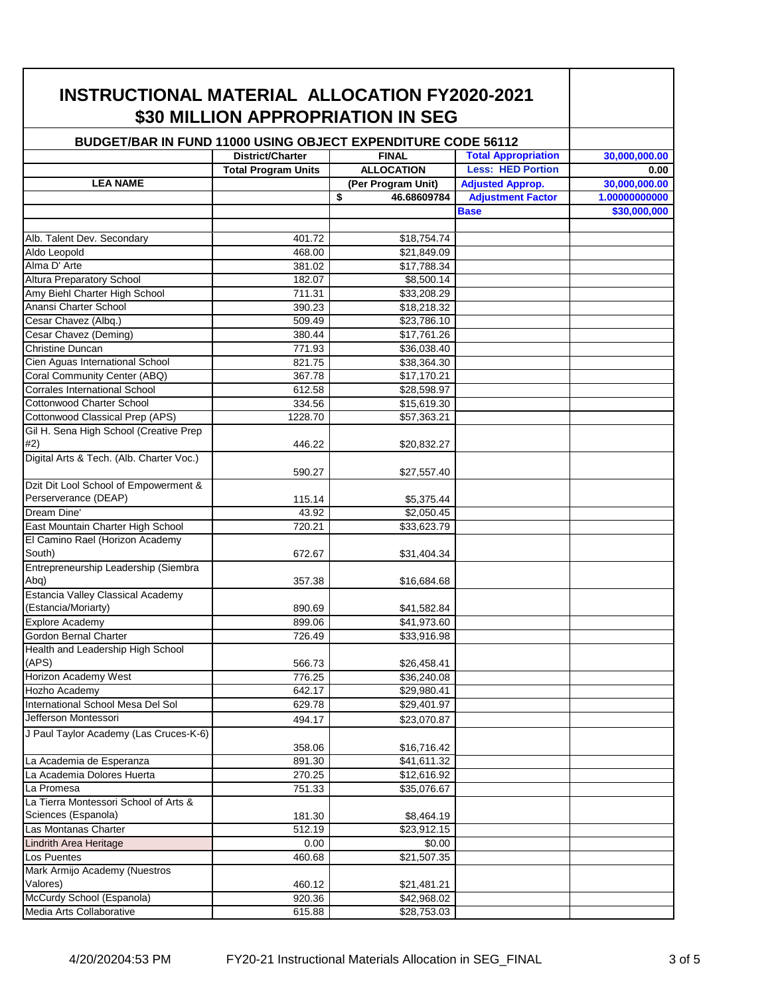| <b>INSTRUCTIONAL MATERIAL ALLOCATION FY2020-2021</b>                |                            | \$30 MILLION APPROPRIATION IN SEG |                            |               |
|---------------------------------------------------------------------|----------------------------|-----------------------------------|----------------------------|---------------|
| <b>BUDGET/BAR IN FUND 11000 USING OBJECT EXPENDITURE CODE 56112</b> |                            |                                   |                            |               |
|                                                                     | District/Charter           | <b>FINAL</b>                      | <b>Total Appropriation</b> | 30,000,000.00 |
|                                                                     | <b>Total Program Units</b> | <b>ALLOCATION</b>                 | <b>Less: HED Portion</b>   | 0.00          |
| <b>LEA NAME</b>                                                     |                            | (Per Program Unit)                | <b>Adjusted Approp.</b>    | 30,000,000.00 |
|                                                                     |                            | \$<br>46.68609784                 | <b>Adjustment Factor</b>   | 1.00000000000 |
|                                                                     |                            |                                   | <b>Base</b>                | \$30,000,000  |
| Alb. Talent Dev. Secondary                                          | 401.72                     | \$18,754.74                       |                            |               |
| Aldo Leopold                                                        | 468.00                     | \$21,849.09                       |                            |               |
| Alma D' Arte                                                        | 381.02                     | \$17,788.34                       |                            |               |
| <b>Altura Preparatory School</b>                                    | 182.07                     | \$8,500.14                        |                            |               |
| Amy Biehl Charter High School                                       | 711.31                     | \$33,208.29                       |                            |               |
| Anansi Charter School                                               | 390.23                     | \$18,218.32                       |                            |               |
| Cesar Chavez (Albq.)                                                | 509.49                     | \$23,786.10                       |                            |               |
| Cesar Chavez (Deming)                                               | 380.44                     | \$17,761.26                       |                            |               |
| <b>Christine Duncan</b>                                             | 771.93                     | \$36,038.40                       |                            |               |
| Cien Aguas International School                                     | 821.75                     | \$38,364.30                       |                            |               |
| Coral Community Center (ABQ)                                        | 367.78                     | \$17,170.21                       |                            |               |
| Corrales International School                                       | 612.58                     | \$28,598.97                       |                            |               |
| <b>Cottonwood Charter School</b>                                    | 334.56                     | \$15,619.30                       |                            |               |
| Cottonwood Classical Prep (APS)                                     | 1228.70                    | \$57,363.21                       |                            |               |
| Gil H. Sena High School (Creative Prep<br>#2)                       | 446.22                     | \$20,832.27                       |                            |               |
| Digital Arts & Tech. (Alb. Charter Voc.)                            | 590.27                     | \$27,557.40                       |                            |               |
| Dzit Dit Lool School of Empowerment &                               |                            |                                   |                            |               |
| Perserverance (DEAP)                                                | 115.14                     | \$5,375.44                        |                            |               |
| Dream Dine'                                                         | 43.92                      | \$2,050.45                        |                            |               |
| East Mountain Charter High School                                   | 720.21                     | \$33,623.79                       |                            |               |
| El Camino Rael (Horizon Academy<br>South)                           | 672.67                     | \$31,404.34                       |                            |               |
| Entrepreneurship Leadership (Siembra                                |                            |                                   |                            |               |
| Abg)                                                                | 357.38                     | \$16,684.68                       |                            |               |
| Estancia Valley Classical Academy<br>(Estancia/Moriarty)            | 890.69                     | \$41,582.84                       |                            |               |
| <b>Explore Academy</b>                                              | 899.06                     | \$41,973.60                       |                            |               |
| Gordon Bernal Charter                                               | 726.49                     | \$33,916.98                       |                            |               |
| Health and Leadership High School<br>(APS)                          | 566.73                     | \$26,458.41                       |                            |               |
| Horizon Academy West                                                | 776.25                     | \$36,240.08                       |                            |               |
| Hozho Academy                                                       | 642.17                     | \$29,980.41                       |                            |               |
| International School Mesa Del Sol                                   | 629.78                     | \$29,401.97                       |                            |               |
| Jefferson Montessori                                                |                            |                                   |                            |               |
| J Paul Taylor Academy (Las Cruces-K-6)                              | 494.17<br>358.06           | \$23,070.87<br>\$16,716.42        |                            |               |
| La Academia de Esperanza                                            | 891.30                     | \$41,611.32                       |                            |               |
| La Academia Dolores Huerta                                          | 270.25                     | \$12,616.92                       |                            |               |
| La Promesa                                                          | 751.33                     | \$35,076.67                       |                            |               |
| La Tierra Montessori School of Arts &                               |                            |                                   |                            |               |
| Sciences (Espanola)                                                 | 181.30                     | \$8,464.19                        |                            |               |
| Las Montanas Charter                                                | 512.19                     | \$23,912.15                       |                            |               |
| <b>Lindrith Area Heritage</b>                                       | 0.00                       | \$0.00                            |                            |               |
| Los Puentes                                                         | 460.68                     | \$21,507.35                       |                            |               |
| Mark Armijo Academy (Nuestros<br>Valores)                           | 460.12                     | \$21,481.21                       |                            |               |
| McCurdy School (Espanola)                                           | 920.36                     | \$42,968.02                       |                            |               |
| Media Arts Collaborative                                            | 615.88                     | \$28,753.03                       |                            |               |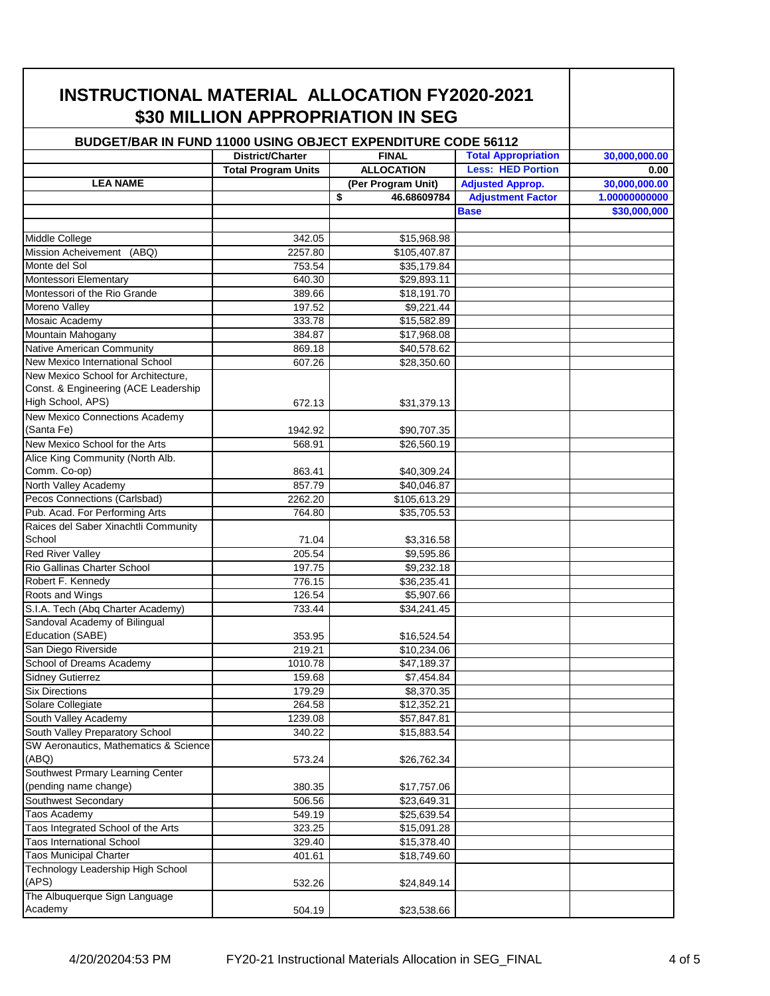| <b>INSTRUCTIONAL MATERIAL ALLOCATION FY2020-2021</b> |                                                | \$30 MILLION APPROPRIATION IN SEG                                   |                                                        |                       |
|------------------------------------------------------|------------------------------------------------|---------------------------------------------------------------------|--------------------------------------------------------|-----------------------|
|                                                      |                                                | <b>BUDGET/BAR IN FUND 11000 USING OBJECT EXPENDITURE CODE 56112</b> |                                                        |                       |
|                                                      |                                                |                                                                     |                                                        |                       |
|                                                      | District/Charter<br><b>Total Program Units</b> | <b>FINAL</b><br><b>ALLOCATION</b>                                   | <b>Total Appropriation</b><br><b>Less: HED Portion</b> | 30,000,000.00         |
| <b>LEA NAME</b>                                      |                                                | (Per Program Unit)                                                  | <b>Adjusted Approp.</b>                                | 0.00<br>30,000,000.00 |
|                                                      |                                                | \$<br>46.68609784                                                   | <b>Adjustment Factor</b>                               | 1.00000000000         |
|                                                      |                                                |                                                                     | <b>Base</b>                                            | \$30,000,000          |
|                                                      |                                                |                                                                     |                                                        |                       |
| Middle College                                       | 342.05                                         | \$15,968.98                                                         |                                                        |                       |
| Mission Acheivement (ABQ)                            | 2257.80                                        | \$105,407.87                                                        |                                                        |                       |
| Monte del Sol                                        | 753.54                                         | \$35,179.84                                                         |                                                        |                       |
| Montessori Elementary                                | 640.30                                         | \$29,893.11                                                         |                                                        |                       |
| Montessori of the Rio Grande                         | 389.66                                         | \$18,191.70                                                         |                                                        |                       |
| Moreno Valley                                        | 197.52                                         | \$9,221.44                                                          |                                                        |                       |
| Mosaic Academy                                       | 333.78                                         | \$15,582.89                                                         |                                                        |                       |
| Mountain Mahogany                                    | 384.87                                         | \$17.968.08                                                         |                                                        |                       |
| <b>Native American Community</b>                     | 869.18                                         | \$40,578.62                                                         |                                                        |                       |
| New Mexico International School                      | 607.26                                         | \$28,350.60                                                         |                                                        |                       |
| New Mexico School for Architecture,                  |                                                |                                                                     |                                                        |                       |
| Const. & Engineering (ACE Leadership                 |                                                |                                                                     |                                                        |                       |
| High School, APS)                                    | 672.13                                         | \$31,379.13                                                         |                                                        |                       |
| New Mexico Connections Academy                       |                                                |                                                                     |                                                        |                       |
| (Santa Fe)                                           | 1942.92                                        | \$90,707.35                                                         |                                                        |                       |
| New Mexico School for the Arts                       | 568.91                                         | \$26,560.19                                                         |                                                        |                       |
| Alice King Community (North Alb.                     |                                                |                                                                     |                                                        |                       |
| Comm. Co-op)                                         | 863.41                                         | \$40,309.24                                                         |                                                        |                       |
| North Valley Academy                                 | 857.79                                         | \$40,046.87                                                         |                                                        |                       |
| Pecos Connections (Carlsbad)                         | 2262.20                                        | \$105,613.29                                                        |                                                        |                       |
| Pub. Acad. For Performing Arts                       | 764.80                                         | \$35,705.53                                                         |                                                        |                       |
| Raices del Saber Xinachtli Community                 |                                                |                                                                     |                                                        |                       |
| School                                               | 71.04                                          | \$3,316.58                                                          |                                                        |                       |
| <b>Red River Valley</b>                              | 205.54                                         | \$9,595.86                                                          |                                                        |                       |
| Rio Gallinas Charter School                          | 197.75                                         | \$9,232.18                                                          |                                                        |                       |
| Robert F. Kennedy                                    | 776.15                                         | \$36,235.41                                                         |                                                        |                       |
| Roots and Wings                                      | 126.54                                         | \$5,907.66                                                          |                                                        |                       |
| S.I.A. Tech (Abq Charter Academy)                    | 733.44                                         | \$34,241.45                                                         |                                                        |                       |
| Sandoval Academy of Bilingual                        |                                                |                                                                     |                                                        |                       |
| Education (SABE)                                     | 353.95                                         | \$16,524.54                                                         |                                                        |                       |
| San Diego Riverside                                  | 219.21                                         | \$10,234.06                                                         |                                                        |                       |
| School of Dreams Academy                             | 1010.78                                        | \$47,189.37                                                         |                                                        |                       |
| <b>Sidney Gutierrez</b>                              | 159.68                                         | \$7,454.84                                                          |                                                        |                       |
| <b>Six Directions</b>                                | 179.29                                         | \$8,370.35                                                          |                                                        |                       |
| Solare Collegiate                                    | 264.58                                         | \$12,352.21                                                         |                                                        |                       |
| South Valley Academy                                 | 1239.08                                        | \$57,847.81                                                         |                                                        |                       |
| South Valley Preparatory School                      | 340.22                                         | \$15,883.54                                                         |                                                        |                       |
| SW Aeronautics, Mathematics & Science                |                                                |                                                                     |                                                        |                       |
| (ABQ)                                                |                                                | \$26,762.34                                                         |                                                        |                       |
| Southwest Prmary Learning Center                     | 573.24                                         |                                                                     |                                                        |                       |
|                                                      |                                                |                                                                     |                                                        |                       |
| (pending name change)<br>Southwest Secondary         | 380.35                                         | \$17,757.06                                                         |                                                        |                       |
|                                                      | 506.56                                         | \$23,649.31                                                         |                                                        |                       |
| Taos Academy                                         | 549.19                                         | \$25,639.54                                                         |                                                        |                       |
| Taos Integrated School of the Arts                   | 323.25                                         | \$15,091.28                                                         |                                                        |                       |
| <b>Taos International School</b>                     | 329.40                                         | \$15,378.40                                                         |                                                        |                       |
| <b>Taos Municipal Charter</b>                        | 401.61                                         | \$18,749.60                                                         |                                                        |                       |
| Technology Leadership High School<br>(APS)           | 532.26                                         | \$24,849.14                                                         |                                                        |                       |
| The Albuquerque Sign Language<br>Academy             | 504.19                                         | \$23,538.66                                                         |                                                        |                       |